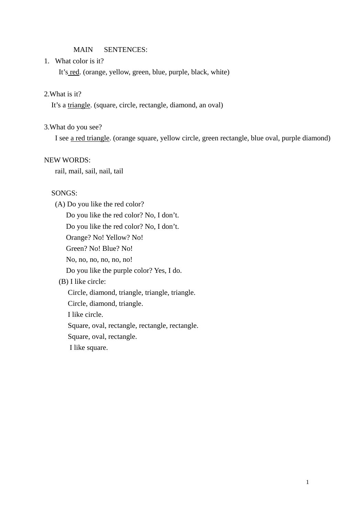### MAIN SENTENCES:

### 1. What color is it?

It's red. (orange, yellow, green, blue, purple, black, white)

### 2.What is it?

It's a triangle. (square, circle, rectangle, diamond, an oval)

#### 3.What do you see?

I see a red triangle. (orange square, yellow circle, green rectangle, blue oval, purple diamond)

### NEW WORDS:

rail, mail, sail, nail, tail

### SONGS:

(A) Do you like the red color? Do you like the red color? No, I don't. Do you like the red color? No, I don't. Orange? No! Yellow? No! Green? No! Blue? No! No, no, no, no, no, no! Do you like the purple color? Yes, I do. (B) I like circle: Circle, diamond, triangle, triangle, triangle. Circle, diamond, triangle. I like circle. Square, oval, rectangle, rectangle, rectangle. Square, oval, rectangle. I like square.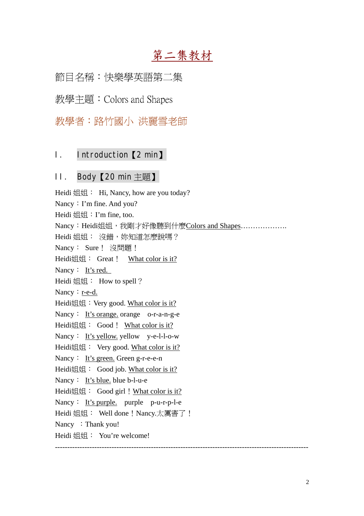# 第二集教材

節目名稱:快樂學英語第二集

教學主題:Colors and Shapes

教學者:路竹國小 洪麗雪老師

# I. Introduction【2 min】

### II. Body【20 min 主題】

Heidi 姐姐: Hi, Nancy, how are you today? Nancy: I'm fine. And you? Heidi 姐姐: I'm fine, too. Nancy: Heidi姐姐, 我剛才好像聽到什麼Colors and Shapes………………… Heidi 姐姐: 沒錯,妳知道怎麼說嗎? Nancy: Sure! 沒問題! Heidi姐姐: Great ! What color is it? Nancy:  $It's red.$ Heidi 姐姐: How to spell? Nancy: r-e-d. Heidi姐姐: Very good. What color is it? Nancy: It's orange. orange o-r-a-n-g-e Heidi姐姐: Good! What color is it? Nancy: It's yellow. yellow y-e-l-l-o-w Heidi姐姐: Very good. What color is it? Nancy: It's green. Green g-r-e-e-n Heidi姐姐: Good job. What color is it? Nancy: It's blue. blue b-l-u-e Heidi姐姐: Good girl ! What color is it? Nancy: It's purple. purple p-u-r-p-l-e Heidi 姐姐: Well done ! Nancy.太厲害了! Nancy : Thank you! Heidi 姐姐: You're welcome! -------------------------------------------------------------------------------------------------------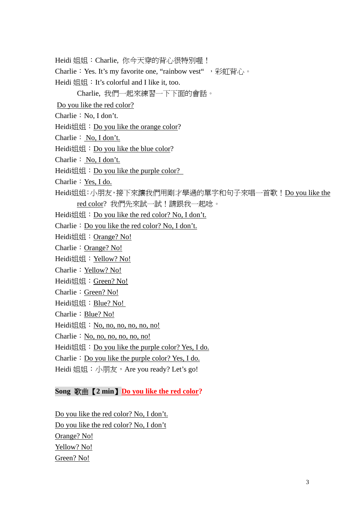- Heidi 姐姐: Charlie, 你今天穿的背心很特別喔!
- Charlie: Yes. It's my favorite one, "rainbow vest", 彩虹背心。
- Heidi  $\frac{d}{dt} \frac{d\mathbf{r}}{dt}$ : It's colorful and I like it, too.
	- Charlie, 我們一起來練習一下下面的會話。
- Do you like the red color?
- Charlie: No, I don't.
- Heidi姐姐: Do you like the orange color?
- Charlie: No, I don't.
- Heidi姐姐: Do you like the blue color?
- Charlie: No, I don't.
- Heidi姐姐: Do you like the purple color?
- Charlie:Yes, I do.
- Heidi姐姐:小朋友,接下來讓我們用剛才學過的單字和句子來唱一首歌! Do you like the red color? 我們先來試一試!請跟我一起唸。
- Heidi姐姐: Do you like the red color? No, I don't.
- Charlie: Do you like the red color? No, I don't.
- Heidi姐姐: Orange? No!
- Charlie: Orange? No!
- Heidi姐姐: Yellow? No!
- Charlie: Yellow? No!
- Heidi姐姐: Green? No!
- Charlie: Green? No!
- Heidi姐姐: Blue? No!
- Charlie: Blue? No!
- Heidi姐姐: No, no, no, no, no, no!
- Charlie: No, no, no, no, no!
- Heidi姐姐: Do you like the purple color? Yes, I do.
- Charlie: Do you like the purple color? Yes, I do.
- Heidi 姐姐: 小朋友, Are you ready? Let's go!

### **Song** 歌曲【**2 min**】**Do you like the red color?**

Do you like the red color? No, I don't. Do you like the red color? No, I don't Orange? No! Yellow? No! Green? No!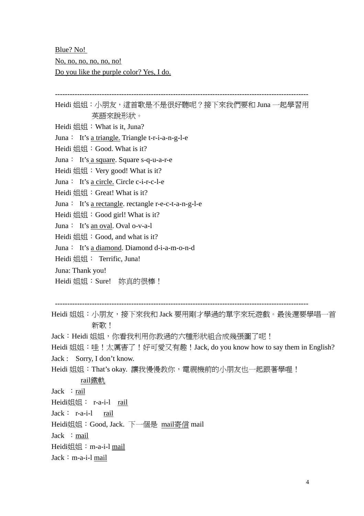Blue? No! No, no, no, no, no, no! Do you like the purple color? Yes, I do.

------------------------------------------------------------------------------------------------------- Heidi 姐姐: 小朋友,這首歌是不是很好聽呢?接下來我們要和 Juna 一起學習用 英語來說形狀。 Heidi 姐姐: What is it, Juna? Juna: It's a triangle. Triangle t-r-i-a-n-g-l-e Heidi 姐姐: Good. What is it? Juna: It's a square. Square s-q-u-a-r-e Heidi  $\frac{1}{2}$  : Very good! What is it? Juna: It's a circle. Circle c-i-r-c-l-e Heidi 姐姐: Great! What is it? Juna: It's a rectangle. rectangle r-e-c-t-a-n-g-l-e Heidi 姐姐: Good girl! What is it? Juna: It's an oval. Oval o-v-a-l Heidi 姐姐: Good, and what is it? Juna: It's a diamond. Diamond d-i-a-m-o-n-d Heidi 姐姐: Terrific, Juna! Juna: Thank you! Heidi 姐姐: Sure! 妳真的很棒! ------------------------------------------------------------------------------------------------------- Heidi 姐姐: 小朋友,接下來我和 Jack 要用剛才學過的單字來玩游戲。最後還要學唱一首 新歌!

Jack: Heidi 姐姐, 你看我利用你教過的六種形狀組合成幾張圖了呢!

Heidi 姐姐:哇!太厲害了!好可愛又有趣! Jack, do you know how to say them in English? Jack : Sorry, I don't know.

Heidi 姐姐:That's okay. 讓我慢慢教你,電視機前的小朋友也一起跟著學喔!

rail鐵軌

Jack  $:$  rail

Heidi姐姐: r-a-i-l rail

Jack: r-a-i-l rail

Heidi姐姐: Good, Jack. 下一個是 mail寄信 mail

Jack : mail

Heidi姐姐: m-a-i-l mail

Jack: m-a-i-l mail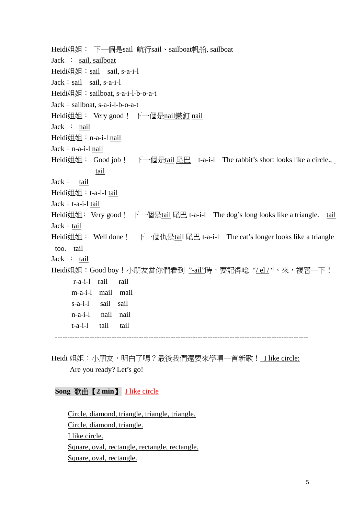Heidi姐姐: 下一個是sail 航行sail、sailboat帆船, sailboat Jack : sail, sailboat Heidi姐姐: sail sail, s-a-i-l Jack: sail sail, s-a-i-l Heidi姐姐: sailboat, s-a-i-l-b-o-a-t Jack: sailboat, s-a-i-l-b-o-a-t Heidi姐姐: Very good! 下一個是nail鐵釘 nail Jack : nail Heidi姐姐: n-a-i-l nail Jack: n-a-i-l nail Heidi姐姐: Good job ! 下一個是tail 尾巴 t-a-i-l The rabbit's short looks like a circle., tail Jack: tail Heidi姐姐: t-a-i-l tail Jack: t-a-i-l tail Heidi姐姐: Very good! 下一個是tail 尾巴 t-a-i-l The dog's long looks like a triangle. tail Jack: tail Heidi姐姐: Well done ! 下一個也是tail 尾巴 t-a-i-l The cat's longer looks like a triangle too. tail Jack : tail Heidi姐姐:Good boy!小朋友當你們看到 "-ail"時,要記得唸 "/ el / "。來,複習一下! r-a-i-l rail rail m-a-i-l mail mail s-a-i-l sail sail n-a-i-l nail nail t-a-i-l tail tail -------------------------------------------------------------------------------------------------------

Heidi 姐姐: 小朋友,明白了嗎?最後我們還要來學唱一首新歌! I like circle: Are you ready? Let's go!

### **Song** 歌曲【**2 min**】 I like circle

Circle, diamond, triangle, triangle, triangle. Circle, diamond, triangle. I like circle. Square, oval, rectangle, rectangle, rectangle. Square, oval, rectangle.